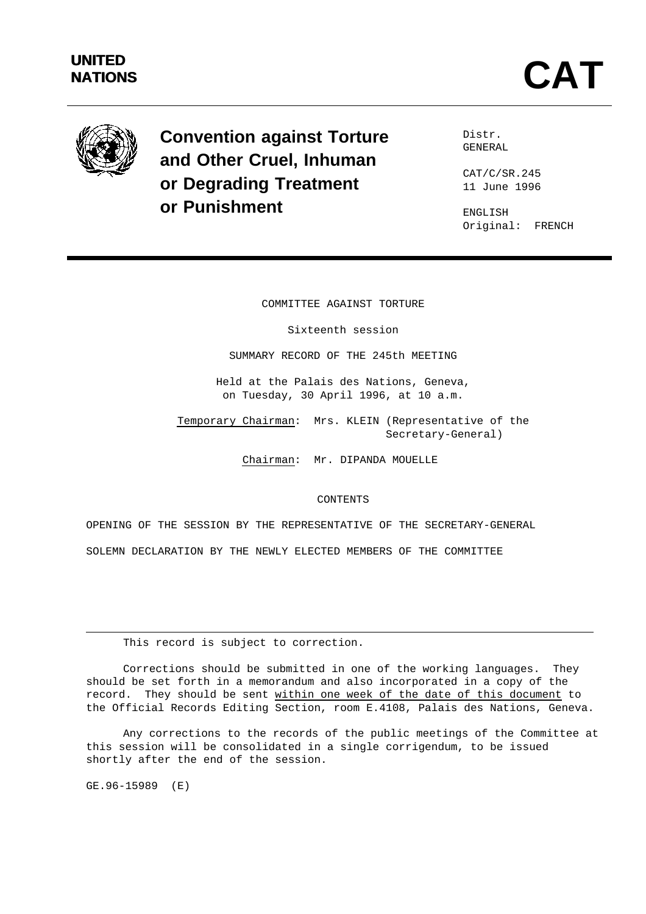

**Convention against Torture and Other Cruel, Inhuman or Degrading Treatment or Punishment**

Distr. GENERAL

CAT/C/SR.245 11 June 1996

ENGLISH Original: FRENCH

COMMITTEE AGAINST TORTURE

Sixteenth session

SUMMARY RECORD OF THE 245th MEETING

Held at the Palais des Nations, Geneva, on Tuesday, 30 April 1996, at 10 a.m.

Temporary Chairman: Mrs. KLEIN (Representative of the Secretary-General)

Chairman: Mr. DIPANDA MOUELLE

#### CONTENTS

OPENING OF THE SESSION BY THE REPRESENTATIVE OF THE SECRETARY-GENERAL SOLEMN DECLARATION BY THE NEWLY ELECTED MEMBERS OF THE COMMITTEE

This record is subject to correction.

Corrections should be submitted in one of the working languages. They should be set forth in a memorandum and also incorporated in a copy of the record. They should be sent within one week of the date of this document to the Official Records Editing Section, room E.4108, Palais des Nations, Geneva.

Any corrections to the records of the public meetings of the Committee at this session will be consolidated in a single corrigendum, to be issued shortly after the end of the session.

GE.96-15989 (E)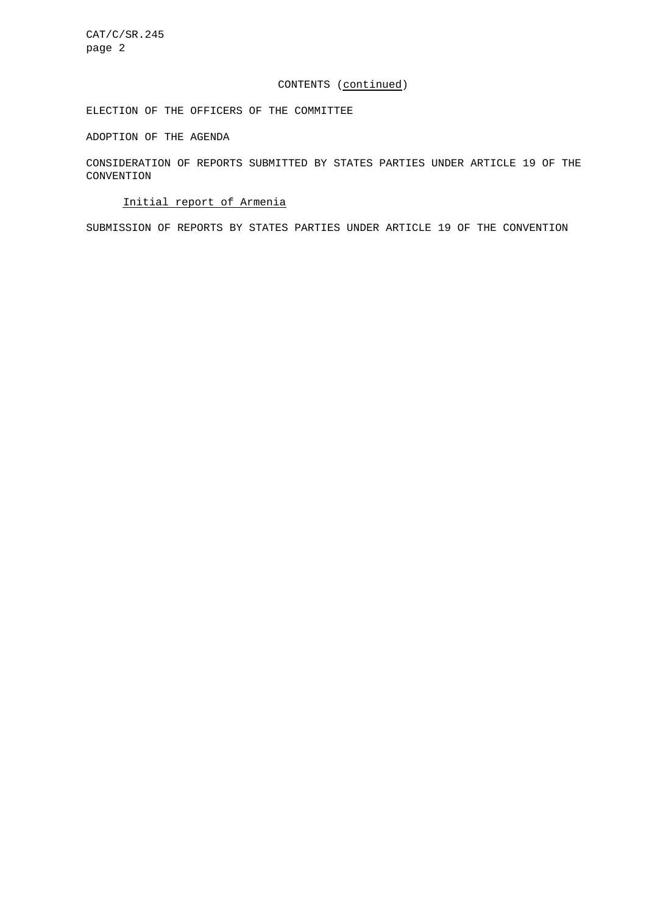CAT/C/SR.245 page 2

### CONTENTS (continued)

ELECTION OF THE OFFICERS OF THE COMMITTEE

ADOPTION OF THE AGENDA

CONSIDERATION OF REPORTS SUBMITTED BY STATES PARTIES UNDER ARTICLE 19 OF THE CONVENTION

# Initial report of Armenia

SUBMISSION OF REPORTS BY STATES PARTIES UNDER ARTICLE 19 OF THE CONVENTION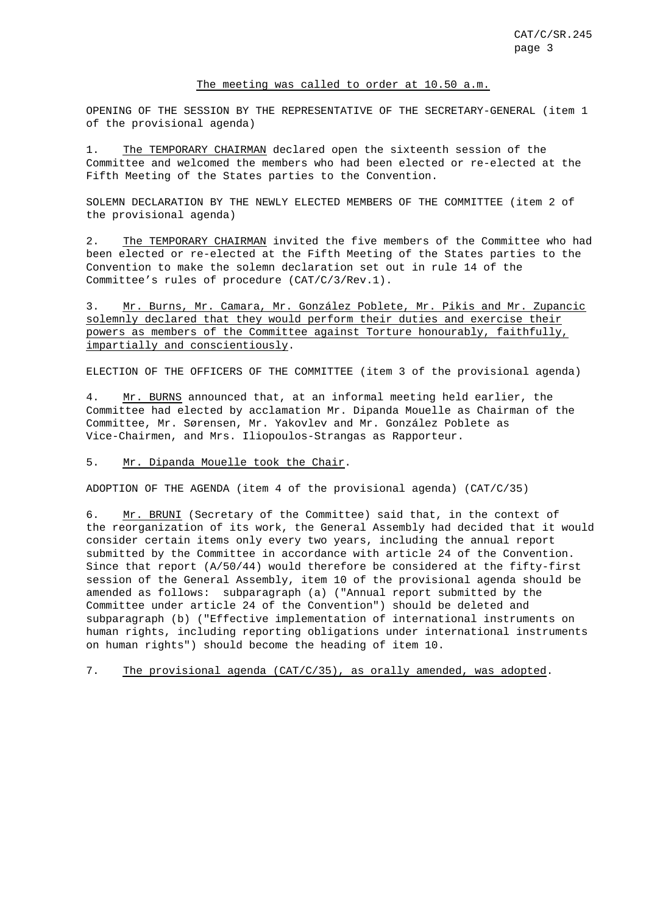#### The meeting was called to order at 10.50 a.m.

OPENING OF THE SESSION BY THE REPRESENTATIVE OF THE SECRETARY-GENERAL (item 1 of the provisional agenda)

1. The TEMPORARY CHAIRMAN declared open the sixteenth session of the Committee and welcomed the members who had been elected or re-elected at the Fifth Meeting of the States parties to the Convention.

SOLEMN DECLARATION BY THE NEWLY ELECTED MEMBERS OF THE COMMITTEE (item 2 of the provisional agenda)

2. The TEMPORARY CHAIRMAN invited the five members of the Committee who had been elected or re-elected at the Fifth Meeting of the States parties to the Convention to make the solemn declaration set out in rule 14 of the Committee's rules of procedure (CAT/C/3/Rev.1).

3. Mr. Burns, Mr. Camara, Mr. González Poblete, Mr. Pikis and Mr. Zupancic solemnly declared that they would perform their duties and exercise their powers as members of the Committee against Torture honourably, faithfully, impartially and conscientiously.

ELECTION OF THE OFFICERS OF THE COMMITTEE (item 3 of the provisional agenda)

4. Mr. BURNS announced that, at an informal meeting held earlier, the Committee had elected by acclamation Mr. Dipanda Mouelle as Chairman of the Committee, Mr. Sørensen, Mr. Yakovlev and Mr. González Poblete as Vice-Chairmen, and Mrs. Iliopoulos-Strangas as Rapporteur.

## 5. Mr. Dipanda Mouelle took the Chair.

ADOPTION OF THE AGENDA (item 4 of the provisional agenda) (CAT/C/35)

6. Mr. BRUNI (Secretary of the Committee) said that, in the context of the reorganization of its work, the General Assembly had decided that it would consider certain items only every two years, including the annual report submitted by the Committee in accordance with article 24 of the Convention. Since that report (A/50/44) would therefore be considered at the fifty-first session of the General Assembly, item 10 of the provisional agenda should be amended as follows: subparagraph (a) ("Annual report submitted by the Committee under article 24 of the Convention") should be deleted and subparagraph (b) ("Effective implementation of international instruments on human rights, including reporting obligations under international instruments on human rights") should become the heading of item 10.

7. The provisional agenda (CAT/C/35), as orally amended, was adopted.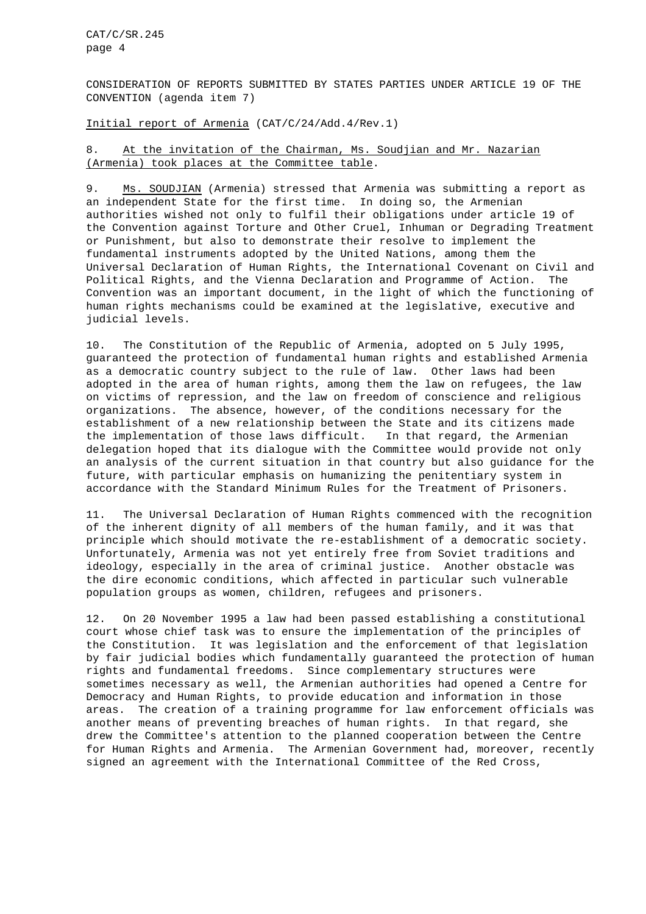CAT/C/SR.245 page 4

CONSIDERATION OF REPORTS SUBMITTED BY STATES PARTIES UNDER ARTICLE 19 OF THE CONVENTION (agenda item 7)

Initial report of Armenia (CAT/C/24/Add.4/Rev.1)

## 8. At the invitation of the Chairman, Ms. Soudjian and Mr. Nazarian (Armenia) took places at the Committee table.

9. Ms. SOUDJIAN (Armenia) stressed that Armenia was submitting a report as an independent State for the first time. In doing so, the Armenian authorities wished not only to fulfil their obligations under article 19 of the Convention against Torture and Other Cruel, Inhuman or Degrading Treatment or Punishment, but also to demonstrate their resolve to implement the fundamental instruments adopted by the United Nations, among them the Universal Declaration of Human Rights, the International Covenant on Civil and Political Rights, and the Vienna Declaration and Programme of Action. The Convention was an important document, in the light of which the functioning of human rights mechanisms could be examined at the legislative, executive and judicial levels.

10. The Constitution of the Republic of Armenia, adopted on 5 July 1995, guaranteed the protection of fundamental human rights and established Armenia as a democratic country subject to the rule of law. Other laws had been adopted in the area of human rights, among them the law on refugees, the law on victims of repression, and the law on freedom of conscience and religious organizations. The absence, however, of the conditions necessary for the establishment of a new relationship between the State and its citizens made the implementation of those laws difficult. In that regard, the Armenian delegation hoped that its dialogue with the Committee would provide not only an analysis of the current situation in that country but also guidance for the future, with particular emphasis on humanizing the penitentiary system in accordance with the Standard Minimum Rules for the Treatment of Prisoners.

11. The Universal Declaration of Human Rights commenced with the recognition of the inherent dignity of all members of the human family, and it was that principle which should motivate the re-establishment of a democratic society. Unfortunately, Armenia was not yet entirely free from Soviet traditions and ideology, especially in the area of criminal justice. Another obstacle was the dire economic conditions, which affected in particular such vulnerable population groups as women, children, refugees and prisoners.

12. On 20 November 1995 a law had been passed establishing a constitutional court whose chief task was to ensure the implementation of the principles of the Constitution. It was legislation and the enforcement of that legislation by fair judicial bodies which fundamentally guaranteed the protection of human rights and fundamental freedoms. Since complementary structures were sometimes necessary as well, the Armenian authorities had opened a Centre for Democracy and Human Rights, to provide education and information in those areas. The creation of a training programme for law enforcement officials was another means of preventing breaches of human rights. In that regard, she drew the Committee's attention to the planned cooperation between the Centre for Human Rights and Armenia. The Armenian Government had, moreover, recently signed an agreement with the International Committee of the Red Cross,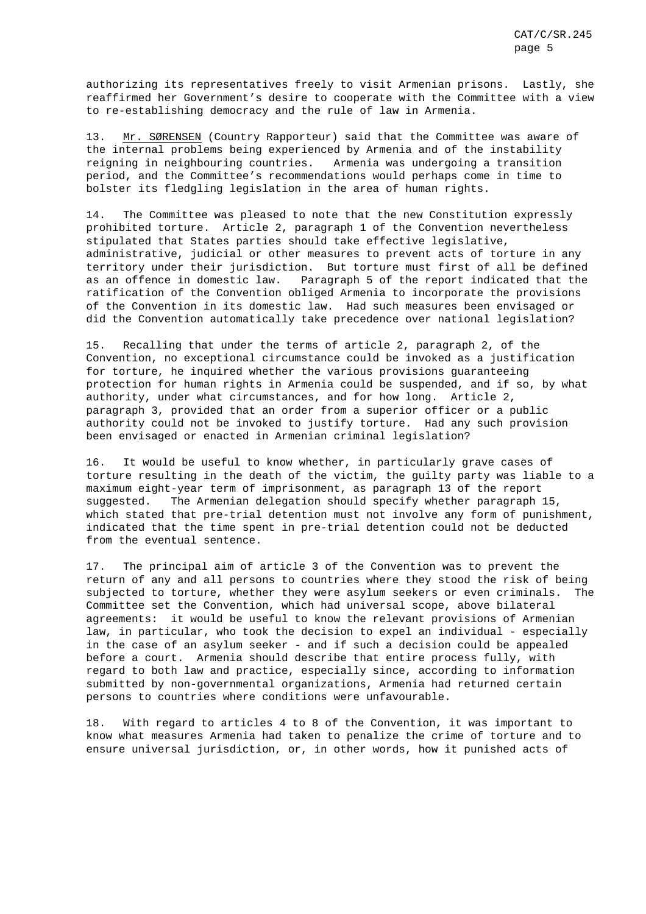authorizing its representatives freely to visit Armenian prisons. Lastly, she reaffirmed her Government's desire to cooperate with the Committee with a view to re-establishing democracy and the rule of law in Armenia.

13. Mr. SØRENSEN (Country Rapporteur) said that the Committee was aware of the internal problems being experienced by Armenia and of the instability reigning in neighbouring countries. Armenia was undergoing a transition period, and the Committee's recommendations would perhaps come in time to bolster its fledgling legislation in the area of human rights.

14. The Committee was pleased to note that the new Constitution expressly prohibited torture. Article 2, paragraph 1 of the Convention nevertheless stipulated that States parties should take effective legislative, administrative, judicial or other measures to prevent acts of torture in any territory under their jurisdiction. But torture must first of all be defined as an offence in domestic law. Paragraph 5 of the report indicated that the ratification of the Convention obliged Armenia to incorporate the provisions of the Convention in its domestic law. Had such measures been envisaged or did the Convention automatically take precedence over national legislation?

15. Recalling that under the terms of article 2, paragraph 2, of the Convention, no exceptional circumstance could be invoked as a justification for torture, he inquired whether the various provisions guaranteeing protection for human rights in Armenia could be suspended, and if so, by what authority, under what circumstances, and for how long. Article 2, paragraph 3, provided that an order from a superior officer or a public authority could not be invoked to justify torture. Had any such provision been envisaged or enacted in Armenian criminal legislation?

16. It would be useful to know whether, in particularly grave cases of torture resulting in the death of the victim, the guilty party was liable to a maximum eight-year term of imprisonment, as paragraph 13 of the report suggested. The Armenian delegation should specify whether paragraph 15, which stated that pre-trial detention must not involve any form of punishment, indicated that the time spent in pre-trial detention could not be deducted from the eventual sentence.

17. The principal aim of article 3 of the Convention was to prevent the return of any and all persons to countries where they stood the risk of being subjected to torture, whether they were asylum seekers or even criminals. The Committee set the Convention, which had universal scope, above bilateral agreements: it would be useful to know the relevant provisions of Armenian law, in particular, who took the decision to expel an individual - especially in the case of an asylum seeker - and if such a decision could be appealed before a court. Armenia should describe that entire process fully, with regard to both law and practice, especially since, according to information submitted by non-governmental organizations, Armenia had returned certain persons to countries where conditions were unfavourable.

18. With regard to articles 4 to 8 of the Convention, it was important to know what measures Armenia had taken to penalize the crime of torture and to ensure universal jurisdiction, or, in other words, how it punished acts of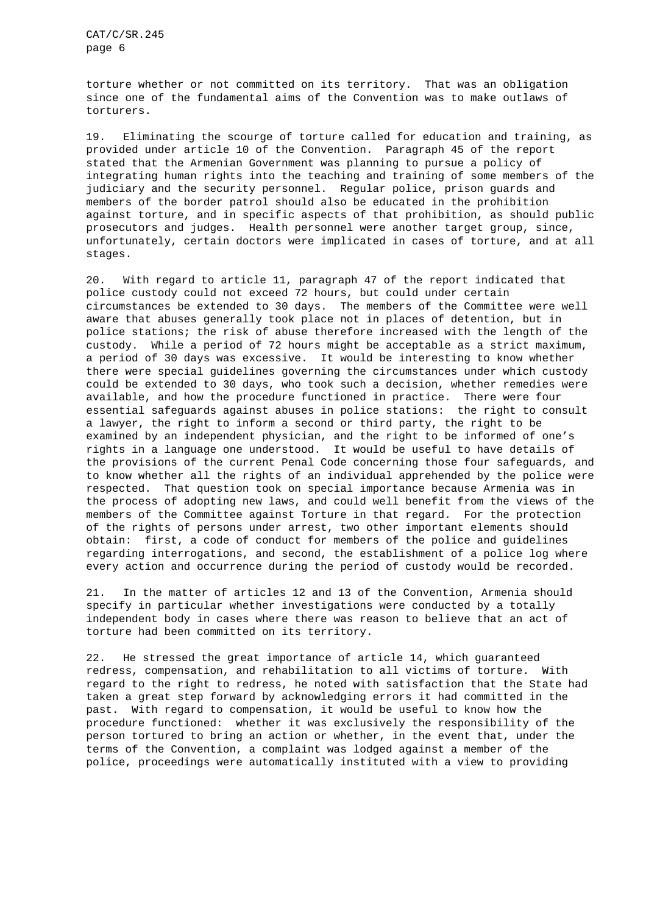torture whether or not committed on its territory. That was an obligation since one of the fundamental aims of the Convention was to make outlaws of torturers.

19. Eliminating the scourge of torture called for education and training, as provided under article 10 of the Convention. Paragraph 45 of the report stated that the Armenian Government was planning to pursue a policy of integrating human rights into the teaching and training of some members of the judiciary and the security personnel. Regular police, prison guards and members of the border patrol should also be educated in the prohibition against torture, and in specific aspects of that prohibition, as should public prosecutors and judges. Health personnel were another target group, since, unfortunately, certain doctors were implicated in cases of torture, and at all stages.

20. With regard to article 11, paragraph 47 of the report indicated that police custody could not exceed 72 hours, but could under certain circumstances be extended to 30 days. The members of the Committee were well aware that abuses generally took place not in places of detention, but in police stations; the risk of abuse therefore increased with the length of the custody. While a period of 72 hours might be acceptable as a strict maximum, a period of 30 days was excessive. It would be interesting to know whether there were special guidelines governing the circumstances under which custody could be extended to 30 days, who took such a decision, whether remedies were available, and how the procedure functioned in practice. There were four essential safeguards against abuses in police stations: the right to consult a lawyer, the right to inform a second or third party, the right to be examined by an independent physician, and the right to be informed of one's rights in a language one understood. It would be useful to have details of the provisions of the current Penal Code concerning those four safeguards, and to know whether all the rights of an individual apprehended by the police were respected. That question took on special importance because Armenia was in the process of adopting new laws, and could well benefit from the views of the members of the Committee against Torture in that regard. For the protection of the rights of persons under arrest, two other important elements should obtain: first, a code of conduct for members of the police and guidelines regarding interrogations, and second, the establishment of a police log where every action and occurrence during the period of custody would be recorded.

21. In the matter of articles 12 and 13 of the Convention, Armenia should specify in particular whether investigations were conducted by a totally independent body in cases where there was reason to believe that an act of torture had been committed on its territory.

22. He stressed the great importance of article 14, which guaranteed redress, compensation, and rehabilitation to all victims of torture. With regard to the right to redress, he noted with satisfaction that the State had taken a great step forward by acknowledging errors it had committed in the past. With regard to compensation, it would be useful to know how the procedure functioned: whether it was exclusively the responsibility of the person tortured to bring an action or whether, in the event that, under the terms of the Convention, a complaint was lodged against a member of the police, proceedings were automatically instituted with a view to providing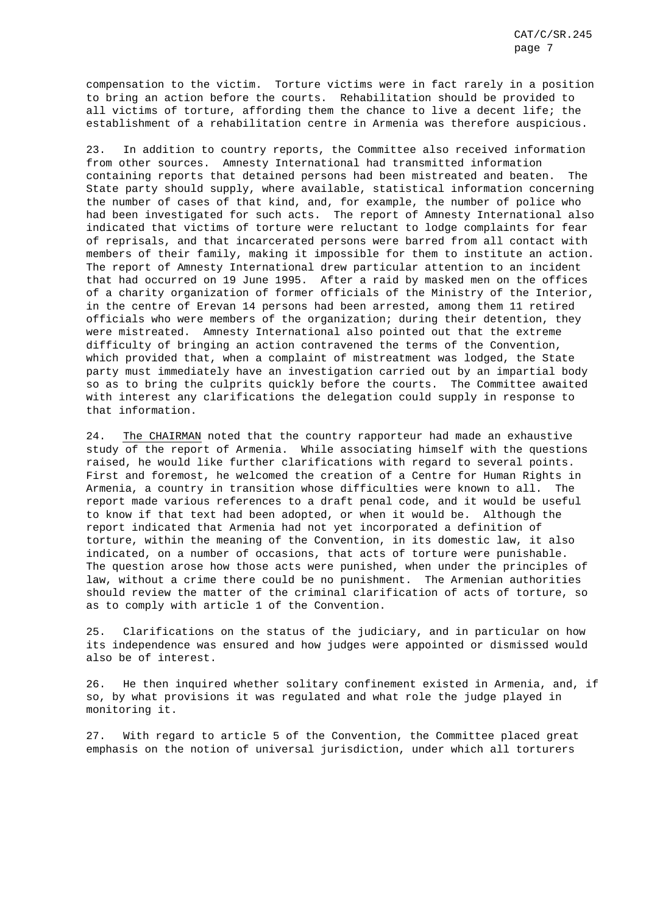compensation to the victim. Torture victims were in fact rarely in a position to bring an action before the courts. Rehabilitation should be provided to all victims of torture, affording them the chance to live a decent life; the establishment of a rehabilitation centre in Armenia was therefore auspicious.

23. In addition to country reports, the Committee also received information from other sources. Amnesty International had transmitted information containing reports that detained persons had been mistreated and beaten. The State party should supply, where available, statistical information concerning the number of cases of that kind, and, for example, the number of police who had been investigated for such acts. The report of Amnesty International also indicated that victims of torture were reluctant to lodge complaints for fear of reprisals, and that incarcerated persons were barred from all contact with members of their family, making it impossible for them to institute an action. The report of Amnesty International drew particular attention to an incident that had occurred on 19 June 1995. After a raid by masked men on the offices of a charity organization of former officials of the Ministry of the Interior, in the centre of Erevan 14 persons had been arrested, among them 11 retired officials who were members of the organization; during their detention, they were mistreated. Amnesty International also pointed out that the extreme difficulty of bringing an action contravened the terms of the Convention, which provided that, when a complaint of mistreatment was lodged, the State party must immediately have an investigation carried out by an impartial body so as to bring the culprits quickly before the courts. The Committee awaited with interest any clarifications the delegation could supply in response to that information.

24. The CHAIRMAN noted that the country rapporteur had made an exhaustive study of the report of Armenia. While associating himself with the questions raised, he would like further clarifications with regard to several points. First and foremost, he welcomed the creation of a Centre for Human Rights in Armenia, a country in transition whose difficulties were known to all. The report made various references to a draft penal code, and it would be useful to know if that text had been adopted, or when it would be. Although the report indicated that Armenia had not yet incorporated a definition of torture, within the meaning of the Convention, in its domestic law, it also indicated, on a number of occasions, that acts of torture were punishable. The question arose how those acts were punished, when under the principles of law, without a crime there could be no punishment. The Armenian authorities should review the matter of the criminal clarification of acts of torture, so as to comply with article 1 of the Convention.

25. Clarifications on the status of the judiciary, and in particular on how its independence was ensured and how judges were appointed or dismissed would also be of interest.

26. He then inquired whether solitary confinement existed in Armenia, and, if so, by what provisions it was regulated and what role the judge played in monitoring it.

27. With regard to article 5 of the Convention, the Committee placed great emphasis on the notion of universal jurisdiction, under which all torturers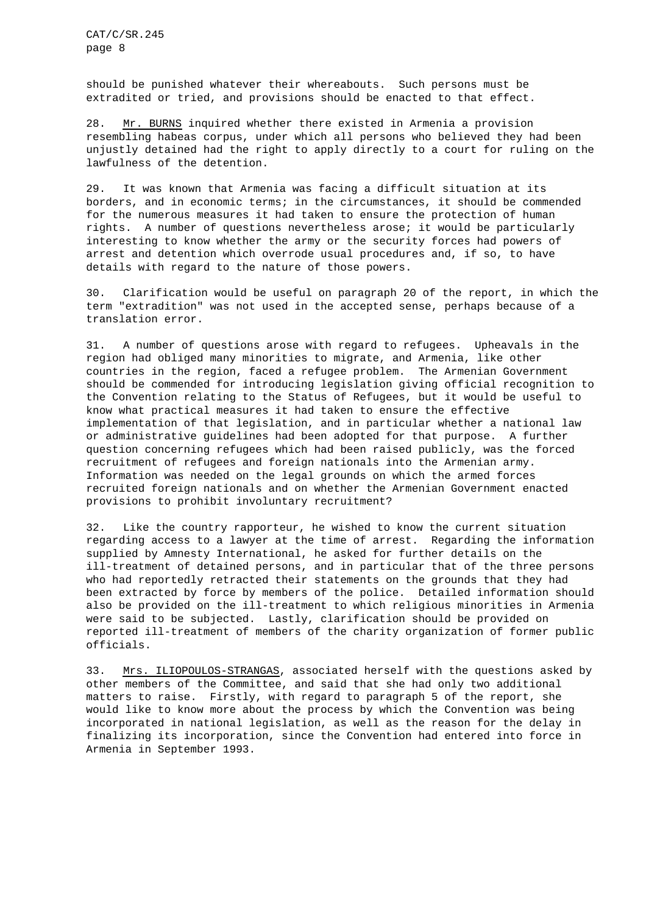should be punished whatever their whereabouts. Such persons must be extradited or tried, and provisions should be enacted to that effect.

28. Mr. BURNS inquired whether there existed in Armenia a provision resembling habeas corpus, under which all persons who believed they had been unjustly detained had the right to apply directly to a court for ruling on the lawfulness of the detention.

29. It was known that Armenia was facing a difficult situation at its borders, and in economic terms; in the circumstances, it should be commended for the numerous measures it had taken to ensure the protection of human rights. A number of questions nevertheless arose; it would be particularly interesting to know whether the army or the security forces had powers of arrest and detention which overrode usual procedures and, if so, to have details with regard to the nature of those powers.

30. Clarification would be useful on paragraph 20 of the report, in which the term "extradition" was not used in the accepted sense, perhaps because of a translation error.

31. A number of questions arose with regard to refugees. Upheavals in the region had obliged many minorities to migrate, and Armenia, like other countries in the region, faced a refugee problem. The Armenian Government should be commended for introducing legislation giving official recognition to the Convention relating to the Status of Refugees, but it would be useful to know what practical measures it had taken to ensure the effective implementation of that legislation, and in particular whether a national law or administrative guidelines had been adopted for that purpose. A further question concerning refugees which had been raised publicly, was the forced recruitment of refugees and foreign nationals into the Armenian army. Information was needed on the legal grounds on which the armed forces recruited foreign nationals and on whether the Armenian Government enacted provisions to prohibit involuntary recruitment?

32. Like the country rapporteur, he wished to know the current situation regarding access to a lawyer at the time of arrest. Regarding the information supplied by Amnesty International, he asked for further details on the ill-treatment of detained persons, and in particular that of the three persons who had reportedly retracted their statements on the grounds that they had been extracted by force by members of the police. Detailed information should also be provided on the ill-treatment to which religious minorities in Armenia were said to be subjected. Lastly, clarification should be provided on reported ill-treatment of members of the charity organization of former public officials.

33. Mrs. ILIOPOULOS-STRANGAS, associated herself with the questions asked by other members of the Committee, and said that she had only two additional matters to raise. Firstly, with regard to paragraph 5 of the report, she would like to know more about the process by which the Convention was being incorporated in national legislation, as well as the reason for the delay in finalizing its incorporation, since the Convention had entered into force in Armenia in September 1993.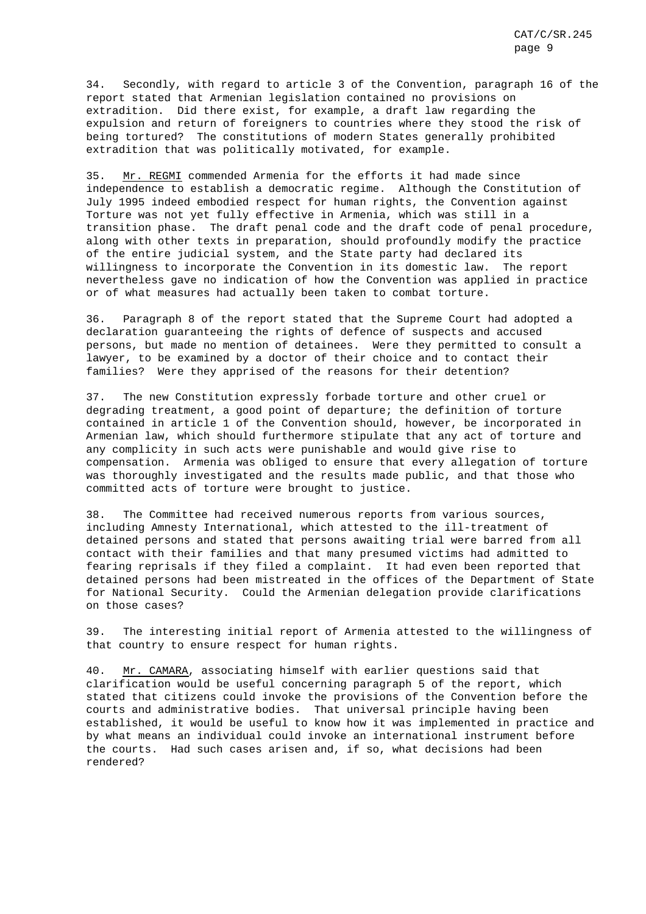34. Secondly, with regard to article 3 of the Convention, paragraph 16 of the report stated that Armenian legislation contained no provisions on extradition. Did there exist, for example, a draft law regarding the expulsion and return of foreigners to countries where they stood the risk of being tortured? The constitutions of modern States generally prohibited extradition that was politically motivated, for example.

35. Mr. REGMI commended Armenia for the efforts it had made since independence to establish a democratic regime. Although the Constitution of July 1995 indeed embodied respect for human rights, the Convention against Torture was not yet fully effective in Armenia, which was still in a transition phase. The draft penal code and the draft code of penal procedure, along with other texts in preparation, should profoundly modify the practice of the entire judicial system, and the State party had declared its willingness to incorporate the Convention in its domestic law. The report nevertheless gave no indication of how the Convention was applied in practice or of what measures had actually been taken to combat torture.

36. Paragraph 8 of the report stated that the Supreme Court had adopted a declaration guaranteeing the rights of defence of suspects and accused persons, but made no mention of detainees. Were they permitted to consult a lawyer, to be examined by a doctor of their choice and to contact their families? Were they apprised of the reasons for their detention?

37. The new Constitution expressly forbade torture and other cruel or degrading treatment, a good point of departure; the definition of torture contained in article 1 of the Convention should, however, be incorporated in Armenian law, which should furthermore stipulate that any act of torture and any complicity in such acts were punishable and would give rise to compensation. Armenia was obliged to ensure that every allegation of torture was thoroughly investigated and the results made public, and that those who committed acts of torture were brought to justice.

38. The Committee had received numerous reports from various sources, including Amnesty International, which attested to the ill-treatment of detained persons and stated that persons awaiting trial were barred from all contact with their families and that many presumed victims had admitted to fearing reprisals if they filed a complaint. It had even been reported that detained persons had been mistreated in the offices of the Department of State for National Security. Could the Armenian delegation provide clarifications on those cases?

39. The interesting initial report of Armenia attested to the willingness of that country to ensure respect for human rights.

40. Mr. CAMARA, associating himself with earlier questions said that clarification would be useful concerning paragraph 5 of the report, which stated that citizens could invoke the provisions of the Convention before the courts and administrative bodies. That universal principle having been established, it would be useful to know how it was implemented in practice and by what means an individual could invoke an international instrument before the courts. Had such cases arisen and, if so, what decisions had been rendered?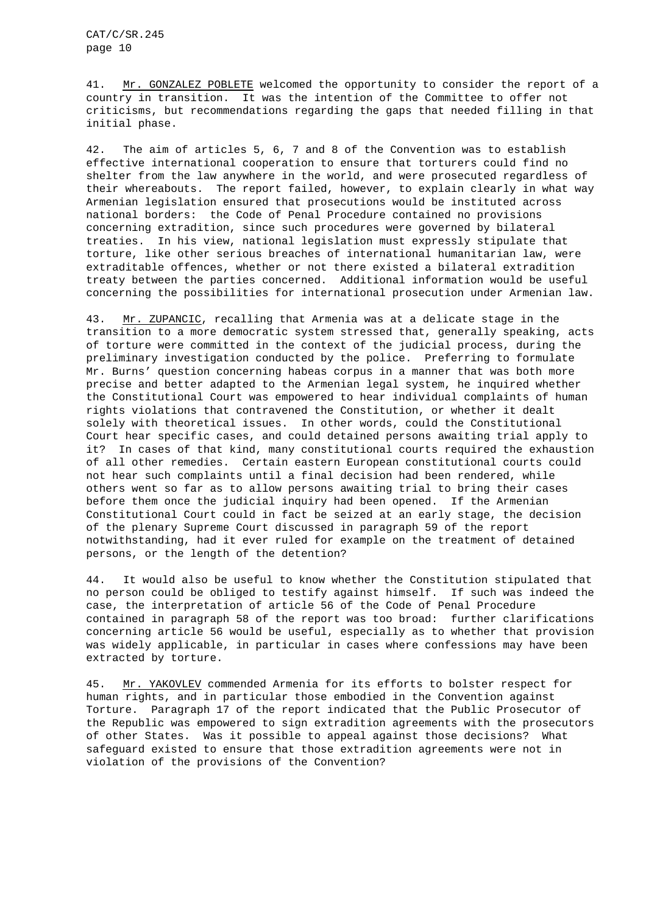41. Mr. GONZALEZ POBLETE welcomed the opportunity to consider the report of a country in transition. It was the intention of the Committee to offer not criticisms, but recommendations regarding the gaps that needed filling in that initial phase.

42. The aim of articles 5, 6, 7 and 8 of the Convention was to establish effective international cooperation to ensure that torturers could find no shelter from the law anywhere in the world, and were prosecuted regardless of their whereabouts. The report failed, however, to explain clearly in what way Armenian legislation ensured that prosecutions would be instituted across national borders: the Code of Penal Procedure contained no provisions concerning extradition, since such procedures were governed by bilateral treaties. In his view, national legislation must expressly stipulate that torture, like other serious breaches of international humanitarian law, were extraditable offences, whether or not there existed a bilateral extradition treaty between the parties concerned. Additional information would be useful concerning the possibilities for international prosecution under Armenian law.

43. Mr. ZUPANCIC, recalling that Armenia was at a delicate stage in the transition to a more democratic system stressed that, generally speaking, acts of torture were committed in the context of the judicial process, during the preliminary investigation conducted by the police. Preferring to formulate Mr. Burns' question concerning habeas corpus in a manner that was both more precise and better adapted to the Armenian legal system, he inquired whether the Constitutional Court was empowered to hear individual complaints of human rights violations that contravened the Constitution, or whether it dealt solely with theoretical issues. In other words, could the Constitutional Court hear specific cases, and could detained persons awaiting trial apply to it? In cases of that kind, many constitutional courts required the exhaustion of all other remedies. Certain eastern European constitutional courts could not hear such complaints until a final decision had been rendered, while others went so far as to allow persons awaiting trial to bring their cases before them once the judicial inquiry had been opened. If the Armenian Constitutional Court could in fact be seized at an early stage, the decision of the plenary Supreme Court discussed in paragraph 59 of the report notwithstanding, had it ever ruled for example on the treatment of detained persons, or the length of the detention?

44. It would also be useful to know whether the Constitution stipulated that no person could be obliged to testify against himself. If such was indeed the case, the interpretation of article 56 of the Code of Penal Procedure contained in paragraph 58 of the report was too broad: further clarifications concerning article 56 would be useful, especially as to whether that provision was widely applicable, in particular in cases where confessions may have been extracted by torture.

45. Mr. YAKOVLEV commended Armenia for its efforts to bolster respect for human rights, and in particular those embodied in the Convention against Torture. Paragraph 17 of the report indicated that the Public Prosecutor of the Republic was empowered to sign extradition agreements with the prosecutors of other States. Was it possible to appeal against those decisions? What safeguard existed to ensure that those extradition agreements were not in violation of the provisions of the Convention?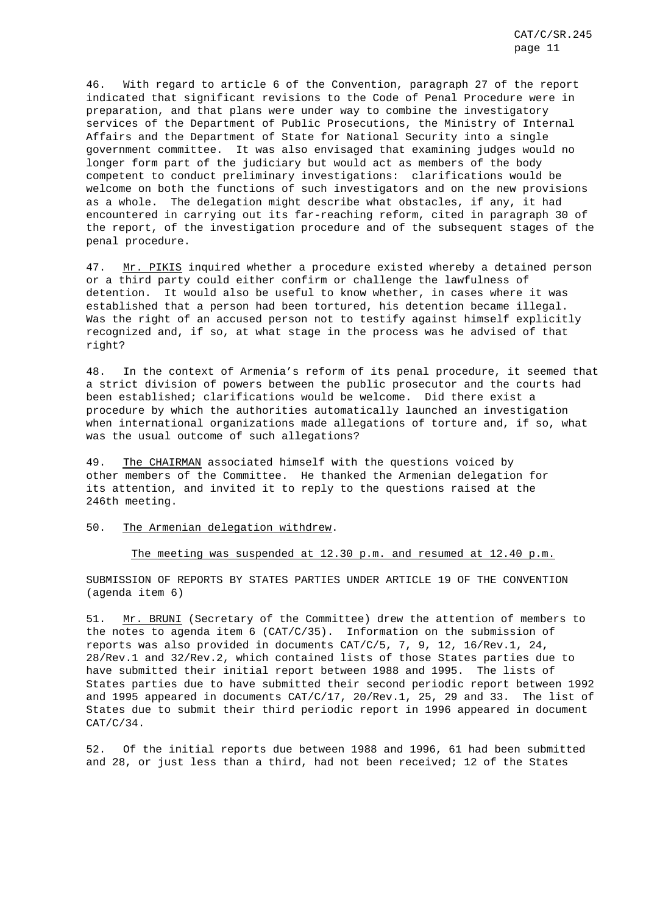46. With regard to article 6 of the Convention, paragraph 27 of the report indicated that significant revisions to the Code of Penal Procedure were in preparation, and that plans were under way to combine the investigatory services of the Department of Public Prosecutions, the Ministry of Internal Affairs and the Department of State for National Security into a single government committee. It was also envisaged that examining judges would no longer form part of the judiciary but would act as members of the body competent to conduct preliminary investigations: clarifications would be welcome on both the functions of such investigators and on the new provisions as a whole. The delegation might describe what obstacles, if any, it had encountered in carrying out its far-reaching reform, cited in paragraph 30 of the report, of the investigation procedure and of the subsequent stages of the penal procedure.

47. Mr. PIKIS inquired whether a procedure existed whereby a detained person or a third party could either confirm or challenge the lawfulness of detention. It would also be useful to know whether, in cases where it was established that a person had been tortured, his detention became illegal. Was the right of an accused person not to testify against himself explicitly recognized and, if so, at what stage in the process was he advised of that right?

48. In the context of Armenia's reform of its penal procedure, it seemed that a strict division of powers between the public prosecutor and the courts had been established; clarifications would be welcome. Did there exist a procedure by which the authorities automatically launched an investigation when international organizations made allegations of torture and, if so, what was the usual outcome of such allegations?

49. The CHAIRMAN associated himself with the questions voiced by other members of the Committee. He thanked the Armenian delegation for its attention, and invited it to reply to the questions raised at the 246th meeting.

### 50. The Armenian delegation withdrew.

#### The meeting was suspended at 12.30 p.m. and resumed at 12.40 p.m.

SUBMISSION OF REPORTS BY STATES PARTIES UNDER ARTICLE 19 OF THE CONVENTION (agenda item 6)

51. Mr. BRUNI (Secretary of the Committee) drew the attention of members to the notes to agenda item 6 (CAT/C/35). Information on the submission of reports was also provided in documents CAT/C/5, 7, 9, 12, 16/Rev.1, 24, 28/Rev.1 and 32/Rev.2, which contained lists of those States parties due to have submitted their initial report between 1988 and 1995. The lists of States parties due to have submitted their second periodic report between 1992 and 1995 appeared in documents CAT/C/17, 20/Rev.1, 25, 29 and 33. The list of States due to submit their third periodic report in 1996 appeared in document  $CAT/C/34.$ 

52. Of the initial reports due between 1988 and 1996, 61 had been submitted and 28, or just less than a third, had not been received; 12 of the States